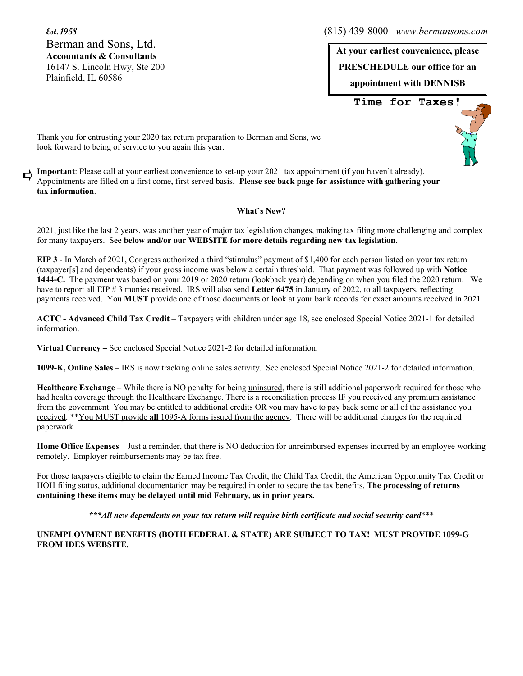Berman and Sons, Ltd. **Accountants & Consultants**  16147 S. Lincoln Hwy, Ste 200 Plainfield, IL 60586

**Est. 1958** (815) 439-8000 *www.bermansons.com*

**At your earliest convenience, please PRESCHEDULE our office for an appointment with DENNISB Time for Taxes!**

Thank you for entrusting your 2020 tax return preparation to Berman and Sons, we look forward to being of service to you again this year.

**Important**: Please call at your earliest convenience to set-up your 2021 tax appointment (if you haven't already). □ Appointments are filled on a first come, first served basis**. Please see back page for assistance with gathering your tax information**.

# **What's New?**

2021, just like the last 2 years, was another year of major tax legislation changes, making tax filing more challenging and complex for many taxpayers. S**ee below and/or our WEBSITE for more details regarding new tax legislation.**

**EIP 3** - In March of 2021, Congress authorized a third "stimulus" payment of \$1,400 for each person listed on your tax return (taxpayer[s] and dependents) if your gross income was below a certain threshold. That payment was followed up with **Notice 1444-C.** The payment was based on your 2019 or 2020 return (lookback year) depending on when you filed the 2020 return. We have to report all EIP # 3 monies received. IRS will also send Letter 6475 in January of 2022, to all taxpayers, reflecting payments received. You **MUST** provide one of those documents or look at your bank records for exact amounts received in 2021.

**ACTC - Advanced Child Tax Credit** – Taxpayers with children under age 18, see enclosed Special Notice 2021-1 for detailed information.

**Virtual Currency –** See enclosed Special Notice 2021-2 for detailed information.

**1099-K, Online Sales** – IRS is now tracking online sales activity. See enclosed Special Notice 2021-2 for detailed information.

**Healthcare Exchange –** While there is NO penalty for being uninsured, there is still additional paperwork required for those who had health coverage through the Healthcare Exchange. There is a reconciliation process IF you received any premium assistance from the government. You may be entitled to additional credits OR you may have to pay back some or all of the assistance you received. \*\*You MUST provide **all** 1095-A forms issued from the agency. There will be additional charges for the required paperwork

**Home Office Expenses** – Just a reminder, that there is NO deduction for unreimbursed expenses incurred by an employee working remotely. Employer reimbursements may be tax free.

For those taxpayers eligible to claim the Earned Income Tax Credit, the Child Tax Credit, the American Opportunity Tax Credit or HOH filing status, additional documentation may be required in order to secure the tax benefits. **The processing of returns containing these items may be delayed until mid February, as in prior years.** 

*\*\*\*All new dependents on your tax return will require birth certificate and social security card*\*\*\*

## **UNEMPLOYMENT BENEFITS (BOTH FEDERAL & STATE) ARE SUBJECT TO TAX! MUST PROVIDE 1099-G FROM IDES WEBSITE.**